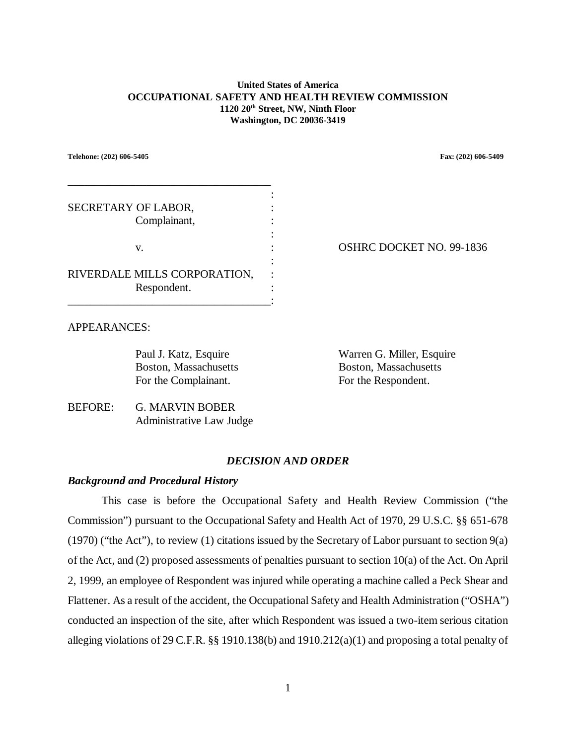#### **United States of America OCCUPATIONAL SAFETY AND HEALTH REVIEW COMMISSION 1120 20th Street, NW, Ninth Floor Washington, DC 20036-3419**

**Telehone: (202) 606-5405 Fax: (202) 606-5409**

| SECRETARY OF LABOR,<br>Complainant,         |  |
|---------------------------------------------|--|
| V.                                          |  |
| RIVERDALE MILLS CORPORATION,<br>Respondent. |  |

OSHRC DOCKET NO. 99-1836

# APPEARANCES:

For the Complainant. For the Respondent.

Paul J. Katz, Esquire Warren G. Miller, Esquire Boston, Massachusetts Boston, Massachusetts

BEFORE: G. MARVIN BOBER Administrative Law Judge

# *DECISION AND ORDER*

# *Background and Procedural History*

This case is before the Occupational Safety and Health Review Commission ("the Commission") pursuant to the Occupational Safety and Health Act of 1970, 29 U.S.C. §§ 651-678 (1970) ("the Act"), to review (1) citations issued by the Secretary of Labor pursuant to section  $9(a)$ of the Act, and (2) proposed assessments of penalties pursuant to section 10(a) of the Act. On April 2, 1999, an employee of Respondent was injured while operating a machine called a Peck Shear and Flattener. As a result of the accident, the Occupational Safety and Health Administration ("OSHA") conducted an inspection of the site, after which Respondent was issued a two-item serious citation alleging violations of 29 C.F.R. §§ 1910.138(b) and 1910.212(a)(1) and proposing a total penalty of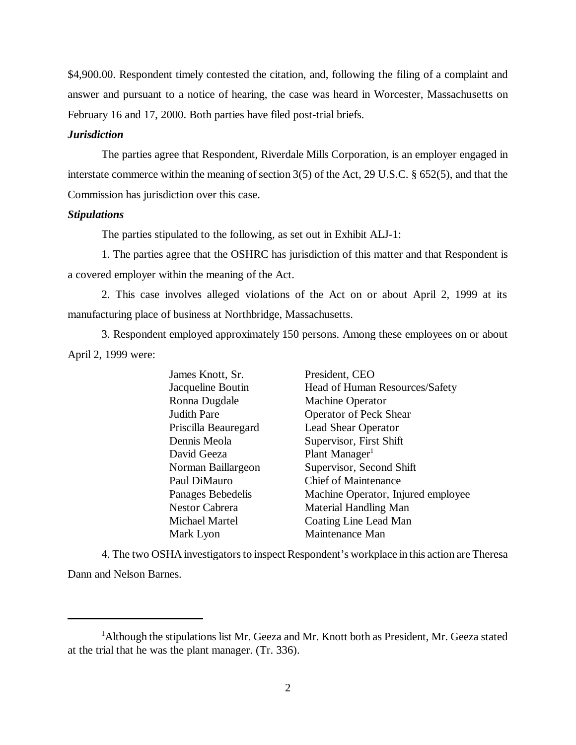\$4,900.00. Respondent timely contested the citation, and, following the filing of a complaint and answer and pursuant to a notice of hearing, the case was heard in Worcester, Massachusetts on February 16 and 17, 2000. Both parties have filed post-trial briefs.

#### *Jurisdiction*

The parties agree that Respondent, Riverdale Mills Corporation, is an employer engaged in interstate commerce within the meaning of section 3(5) of the Act, 29 U.S.C. § 652(5), and that the Commission has jurisdiction over this case.

## *Stipulations*

The parties stipulated to the following, as set out in Exhibit ALJ-1:

1. The parties agree that the OSHRC has jurisdiction of this matter and that Respondent is a covered employer within the meaning of the Act.

2. This case involves alleged violations of the Act on or about April 2, 1999 at its manufacturing place of business at Northbridge, Massachusetts.

3. Respondent employed approximately 150 persons. Among these employees on or about April 2, 1999 were:

> James Knott, Sr. President, CEO Jacqueline Boutin Head of Human Resources/Safety Ronna Dugdale Machine Operator Judith Pare Operator of Peck Shear Priscilla Beauregard Lead Shear Operator Dennis Meola Supervisor, First Shift David Geeza Plant Manager<sup>1</sup> Norman Baillargeon Supervisor, Second Shift Paul DiMauro Chief of Maintenance Panages Bebedelis Machine Operator, Injured employee Nestor Cabrera Material Handling Man Michael Martel Coating Line Lead Man Mark Lyon Maintenance Man

4. The two OSHA investigators to inspect Respondent's workplace in this action are Theresa Dann and Nelson Barnes.

<sup>&</sup>lt;sup>1</sup>Although the stipulations list Mr. Geeza and Mr. Knott both as President, Mr. Geeza stated at the trial that he was the plant manager. (Tr. 336).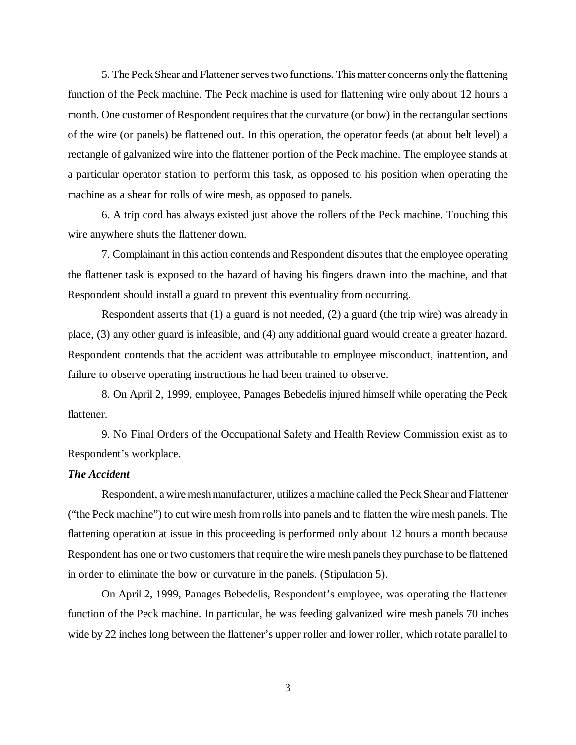5. The Peck Shear and Flattener serves two functions. This matter concerns only the flattening function of the Peck machine. The Peck machine is used for flattening wire only about 12 hours a month. One customer of Respondent requires that the curvature (or bow) in the rectangular sections of the wire (or panels) be flattened out. In this operation, the operator feeds (at about belt level) a rectangle of galvanized wire into the flattener portion of the Peck machine. The employee stands at a particular operator station to perform this task, as opposed to his position when operating the machine as a shear for rolls of wire mesh, as opposed to panels.

6. A trip cord has always existed just above the rollers of the Peck machine. Touching this wire anywhere shuts the flattener down.

7. Complainant in this action contends and Respondent disputes that the employee operating the flattener task is exposed to the hazard of having his fingers drawn into the machine, and that Respondent should install a guard to prevent this eventuality from occurring.

Respondent asserts that (1) a guard is not needed, (2) a guard (the trip wire) was already in place, (3) any other guard is infeasible, and (4) any additional guard would create a greater hazard. Respondent contends that the accident was attributable to employee misconduct, inattention, and failure to observe operating instructions he had been trained to observe.

8. On April 2, 1999, employee, Panages Bebedelis injured himself while operating the Peck flattener.

9. No Final Orders of the Occupational Safety and Health Review Commission exist as to Respondent's workplace.

#### *The Accident*

Respondent, a wire mesh manufacturer, utilizes a machine called the Peck Shear and Flattener ("the Peck machine") to cut wire mesh from rolls into panels and to flatten the wire mesh panels. The flattening operation at issue in this proceeding is performed only about 12 hours a month because Respondent has one or two customers that require the wire mesh panels they purchase to be flattened in order to eliminate the bow or curvature in the panels. (Stipulation 5).

On April 2, 1999, Panages Bebedelis, Respondent's employee, was operating the flattener function of the Peck machine. In particular, he was feeding galvanized wire mesh panels 70 inches wide by 22 inches long between the flattener's upper roller and lower roller, which rotate parallel to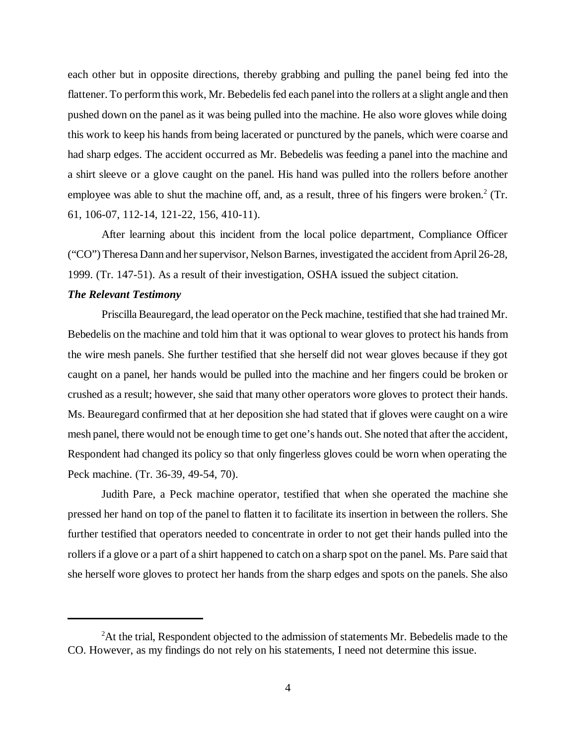each other but in opposite directions, thereby grabbing and pulling the panel being fed into the flattener. To perform this work, Mr. Bebedelis fed each panel into the rollers at a slight angle and then pushed down on the panel as it was being pulled into the machine. He also wore gloves while doing this work to keep his hands from being lacerated or punctured by the panels, which were coarse and had sharp edges. The accident occurred as Mr. Bebedelis was feeding a panel into the machine and a shirt sleeve or a glove caught on the panel. His hand was pulled into the rollers before another employee was able to shut the machine off, and, as a result, three of his fingers were broken.<sup>2</sup> (Tr. 61, 106-07, 112-14, 121-22, 156, 410-11).

After learning about this incident from the local police department, Compliance Officer ("CO") Theresa Dann and her supervisor, Nelson Barnes, investigated the accident from April 26-28, 1999. (Tr. 147-51). As a result of their investigation, OSHA issued the subject citation.

#### *The Relevant Testimony*

Priscilla Beauregard, the lead operator on the Peck machine, testified that she had trained Mr. Bebedelis on the machine and told him that it was optional to wear gloves to protect his hands from the wire mesh panels. She further testified that she herself did not wear gloves because if they got caught on a panel, her hands would be pulled into the machine and her fingers could be broken or crushed as a result; however, she said that many other operators wore gloves to protect their hands. Ms. Beauregard confirmed that at her deposition she had stated that if gloves were caught on a wire mesh panel, there would not be enough time to get one's hands out. She noted that after the accident, Respondent had changed its policy so that only fingerless gloves could be worn when operating the Peck machine. (Tr. 36-39, 49-54, 70).

Judith Pare, a Peck machine operator, testified that when she operated the machine she pressed her hand on top of the panel to flatten it to facilitate its insertion in between the rollers. She further testified that operators needed to concentrate in order to not get their hands pulled into the rollers if a glove or a part of a shirt happened to catch on a sharp spot on the panel. Ms. Pare said that she herself wore gloves to protect her hands from the sharp edges and spots on the panels. She also

 $2$ At the trial, Respondent objected to the admission of statements Mr. Bebedelis made to the CO. However, as my findings do not rely on his statements, I need not determine this issue.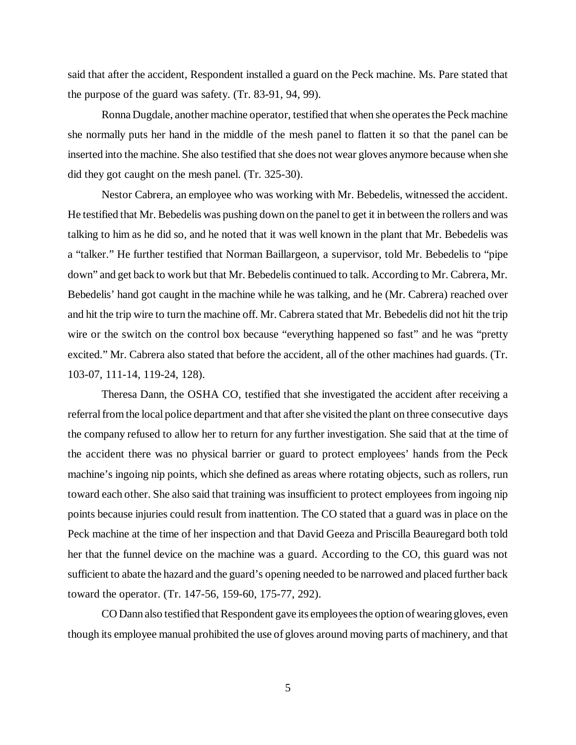said that after the accident, Respondent installed a guard on the Peck machine. Ms. Pare stated that the purpose of the guard was safety. (Tr. 83-91, 94, 99).

Ronna Dugdale, another machine operator, testified that when she operates the Peck machine she normally puts her hand in the middle of the mesh panel to flatten it so that the panel can be inserted into the machine. She also testified that she does not wear gloves anymore because when she did they got caught on the mesh panel. (Tr. 325-30).

Nestor Cabrera, an employee who was working with Mr. Bebedelis, witnessed the accident. He testified that Mr. Bebedelis was pushing down on the panel to get it in between the rollers and was talking to him as he did so, and he noted that it was well known in the plant that Mr. Bebedelis was a "talker." He further testified that Norman Baillargeon, a supervisor, told Mr. Bebedelis to "pipe down" and get back to work but that Mr. Bebedelis continued to talk. According to Mr. Cabrera, Mr. Bebedelis' hand got caught in the machine while he was talking, and he (Mr. Cabrera) reached over and hit the trip wire to turn the machine off. Mr. Cabrera stated that Mr. Bebedelis did not hit the trip wire or the switch on the control box because "everything happened so fast" and he was "pretty" excited." Mr. Cabrera also stated that before the accident, all of the other machines had guards. (Tr. 103-07, 111-14, 119-24, 128).

Theresa Dann, the OSHA CO, testified that she investigated the accident after receiving a referral from the local police department and that after she visited the plant on three consecutive days the company refused to allow her to return for any further investigation. She said that at the time of the accident there was no physical barrier or guard to protect employees' hands from the Peck machine's ingoing nip points, which she defined as areas where rotating objects, such as rollers, run toward each other. She also said that training was insufficient to protect employees from ingoing nip points because injuries could result from inattention. The CO stated that a guard was in place on the Peck machine at the time of her inspection and that David Geeza and Priscilla Beauregard both told her that the funnel device on the machine was a guard. According to the CO, this guard was not sufficient to abate the hazard and the guard's opening needed to be narrowed and placed further back toward the operator. (Tr. 147-56, 159-60, 175-77, 292).

CO Dann also testified that Respondent gave its employees the option of wearing gloves, even though its employee manual prohibited the use of gloves around moving parts of machinery, and that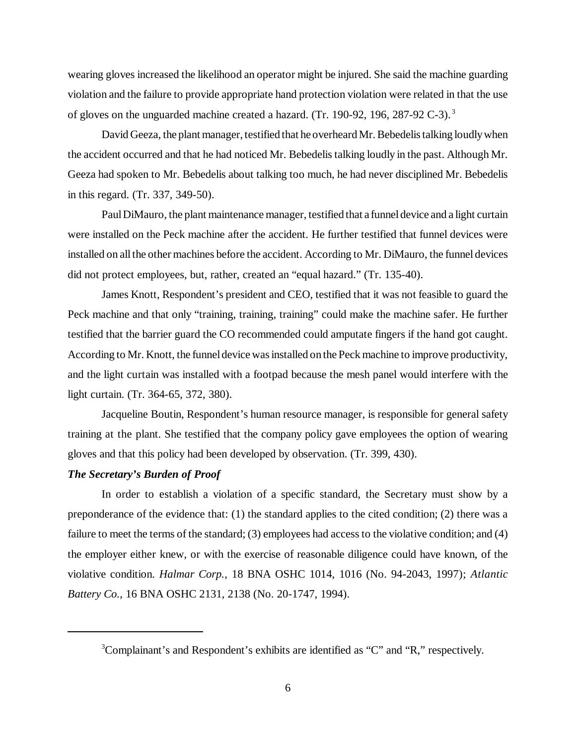wearing gloves increased the likelihood an operator might be injured. She said the machine guarding violation and the failure to provide appropriate hand protection violation were related in that the use of gloves on the unguarded machine created a hazard. (Tr. 190-92, 196, 287-92 C-3). <sup>3</sup>

David Geeza, the plant manager, testified that he overheard Mr. Bebedelis talking loudly when the accident occurred and that he had noticed Mr. Bebedelis talking loudly in the past. Although Mr. Geeza had spoken to Mr. Bebedelis about talking too much, he had never disciplined Mr. Bebedelis in this regard. (Tr. 337, 349-50).

Paul DiMauro, the plant maintenance manager, testified that a funnel device and a light curtain were installed on the Peck machine after the accident. He further testified that funnel devices were installed on all the other machines before the accident. According to Mr. DiMauro, the funnel devices did not protect employees, but, rather, created an "equal hazard." (Tr. 135-40).

James Knott, Respondent's president and CEO, testified that it was not feasible to guard the Peck machine and that only "training, training, training" could make the machine safer. He further testified that the barrier guard the CO recommended could amputate fingers if the hand got caught. According to Mr. Knott, the funnel device was installed on the Peck machine to improve productivity, and the light curtain was installed with a footpad because the mesh panel would interfere with the light curtain. (Tr. 364-65, 372, 380).

Jacqueline Boutin, Respondent's human resource manager, is responsible for general safety training at the plant. She testified that the company policy gave employees the option of wearing gloves and that this policy had been developed by observation. (Tr. 399, 430).

#### *The Secretary's Burden of Proof*

In order to establish a violation of a specific standard, the Secretary must show by a preponderance of the evidence that: (1) the standard applies to the cited condition; (2) there was a failure to meet the terms of the standard; (3) employees had access to the violative condition; and (4) the employer either knew, or with the exercise of reasonable diligence could have known, of the violative condition. *Halmar Corp.*, 18 BNA OSHC 1014, 1016 (No. 94-2043, 1997); *Atlantic Battery Co.*, 16 BNA OSHC 2131, 2138 (No. 20-1747, 1994).

<sup>&</sup>lt;sup>3</sup>Complainant's and Respondent's exhibits are identified as "C" and "R," respectively.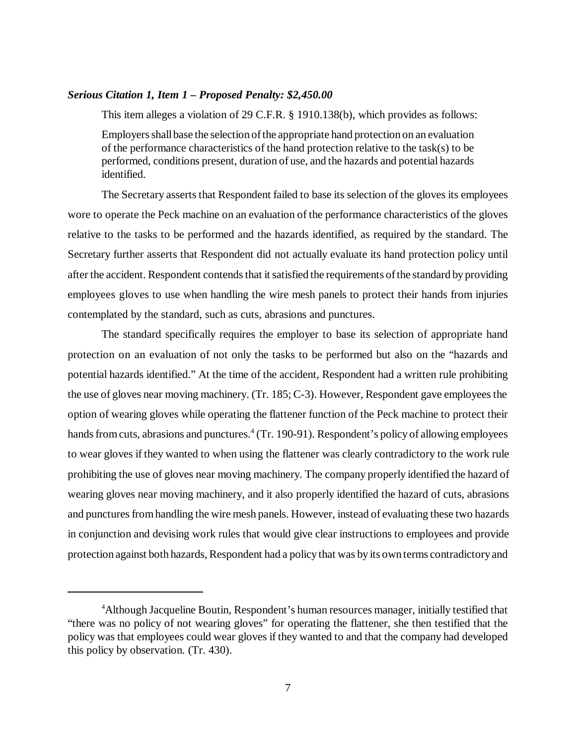## *Serious Citation 1, Item 1 – Proposed Penalty: \$2,450.00*

This item alleges a violation of 29 C.F.R. § 1910.138(b), which provides as follows:

Employers shall base the selection of the appropriate hand protection on an evaluation of the performance characteristics of the hand protection relative to the task(s) to be performed, conditions present, duration of use, and the hazards and potential hazards identified.

The Secretary asserts that Respondent failed to base its selection of the gloves its employees wore to operate the Peck machine on an evaluation of the performance characteristics of the gloves relative to the tasks to be performed and the hazards identified, as required by the standard. The Secretary further asserts that Respondent did not actually evaluate its hand protection policy until after the accident. Respondent contends that it satisfied the requirements of the standard by providing employees gloves to use when handling the wire mesh panels to protect their hands from injuries contemplated by the standard, such as cuts, abrasions and punctures.

The standard specifically requires the employer to base its selection of appropriate hand protection on an evaluation of not only the tasks to be performed but also on the "hazards and potential hazards identified." At the time of the accident, Respondent had a written rule prohibiting the use of gloves near moving machinery. (Tr. 185; C-3). However, Respondent gave employees the option of wearing gloves while operating the flattener function of the Peck machine to protect their hands from cuts, abrasions and punctures.<sup>4</sup> (Tr. 190-91). Respondent's policy of allowing employees to wear gloves if they wanted to when using the flattener was clearly contradictory to the work rule prohibiting the use of gloves near moving machinery. The company properly identified the hazard of wearing gloves near moving machinery, and it also properly identified the hazard of cuts, abrasions and punctures from handling the wire mesh panels. However, instead of evaluating these two hazards in conjunction and devising work rules that would give clear instructions to employees and provide protection against both hazards, Respondent had a policy that was by its own terms contradictory and

<sup>&</sup>lt;sup>4</sup>Although Jacqueline Boutin, Respondent's human resources manager, initially testified that "there was no policy of not wearing gloves" for operating the flattener, she then testified that the policy was that employees could wear gloves if they wanted to and that the company had developed this policy by observation. (Tr. 430).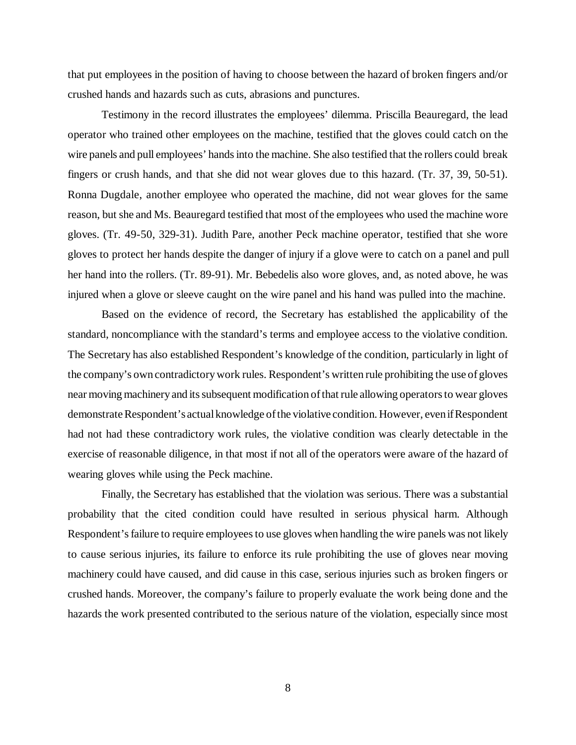that put employees in the position of having to choose between the hazard of broken fingers and/or crushed hands and hazards such as cuts, abrasions and punctures.

Testimony in the record illustrates the employees' dilemma. Priscilla Beauregard, the lead operator who trained other employees on the machine, testified that the gloves could catch on the wire panels and pull employees' hands into the machine. She also testified that the rollers could break fingers or crush hands, and that she did not wear gloves due to this hazard. (Tr. 37, 39, 50-51). Ronna Dugdale, another employee who operated the machine, did not wear gloves for the same reason, but she and Ms. Beauregard testified that most of the employees who used the machine wore gloves. (Tr. 49-50, 329-31). Judith Pare, another Peck machine operator, testified that she wore gloves to protect her hands despite the danger of injury if a glove were to catch on a panel and pull her hand into the rollers. (Tr. 89-91). Mr. Bebedelis also wore gloves, and, as noted above, he was injured when a glove or sleeve caught on the wire panel and his hand was pulled into the machine.

Based on the evidence of record, the Secretary has established the applicability of the standard, noncompliance with the standard's terms and employee access to the violative condition. The Secretary has also established Respondent's knowledge of the condition, particularly in light of the company's own contradictory work rules. Respondent's written rule prohibiting the use of gloves near moving machinery and its subsequent modification of that rule allowing operators to wear gloves demonstrate Respondent's actual knowledge of the violative condition. However, even if Respondent had not had these contradictory work rules, the violative condition was clearly detectable in the exercise of reasonable diligence, in that most if not all of the operators were aware of the hazard of wearing gloves while using the Peck machine.

Finally, the Secretary has established that the violation was serious. There was a substantial probability that the cited condition could have resulted in serious physical harm. Although Respondent's failure to require employees to use gloves when handling the wire panels was not likely to cause serious injuries, its failure to enforce its rule prohibiting the use of gloves near moving machinery could have caused, and did cause in this case, serious injuries such as broken fingers or crushed hands. Moreover, the company's failure to properly evaluate the work being done and the hazards the work presented contributed to the serious nature of the violation, especially since most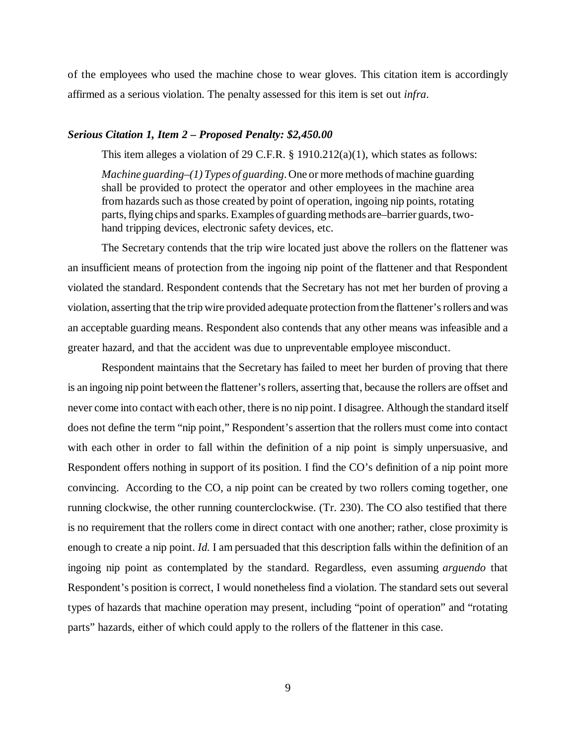of the employees who used the machine chose to wear gloves. This citation item is accordingly affirmed as a serious violation. The penalty assessed for this item is set out *infra*.

#### *Serious Citation 1, Item 2 – Proposed Penalty: \$2,450.00*

This item alleges a violation of 29 C.F.R. § 1910.212(a)(1), which states as follows:

*Machine guarding–(1) Types of guarding*. One or more methods of machine guarding shall be provided to protect the operator and other employees in the machine area from hazards such as those created by point of operation, ingoing nip points, rotating parts, flying chips and sparks. Examples of guarding methods are–barrier guards, twohand tripping devices, electronic safety devices, etc.

The Secretary contends that the trip wire located just above the rollers on the flattener was an insufficient means of protection from the ingoing nip point of the flattener and that Respondent violated the standard. Respondent contends that the Secretary has not met her burden of proving a violation, asserting that the trip wire provided adequate protection from the flattener's rollers and was an acceptable guarding means. Respondent also contends that any other means was infeasible and a greater hazard, and that the accident was due to unpreventable employee misconduct.

Respondent maintains that the Secretary has failed to meet her burden of proving that there is an ingoing nip point between the flattener's rollers, asserting that, because the rollers are offset and never come into contact with each other, there is no nip point. I disagree. Although the standard itself does not define the term "nip point," Respondent's assertion that the rollers must come into contact with each other in order to fall within the definition of a nip point is simply unpersuasive, and Respondent offers nothing in support of its position. I find the CO's definition of a nip point more convincing. According to the CO, a nip point can be created by two rollers coming together, one running clockwise, the other running counterclockwise. (Tr. 230). The CO also testified that there is no requirement that the rollers come in direct contact with one another; rather, close proximity is enough to create a nip point. *Id.* I am persuaded that this description falls within the definition of an ingoing nip point as contemplated by the standard. Regardless, even assuming *arguendo* that Respondent's position is correct, I would nonetheless find a violation. The standard sets out several types of hazards that machine operation may present, including "point of operation" and "rotating parts" hazards, either of which could apply to the rollers of the flattener in this case.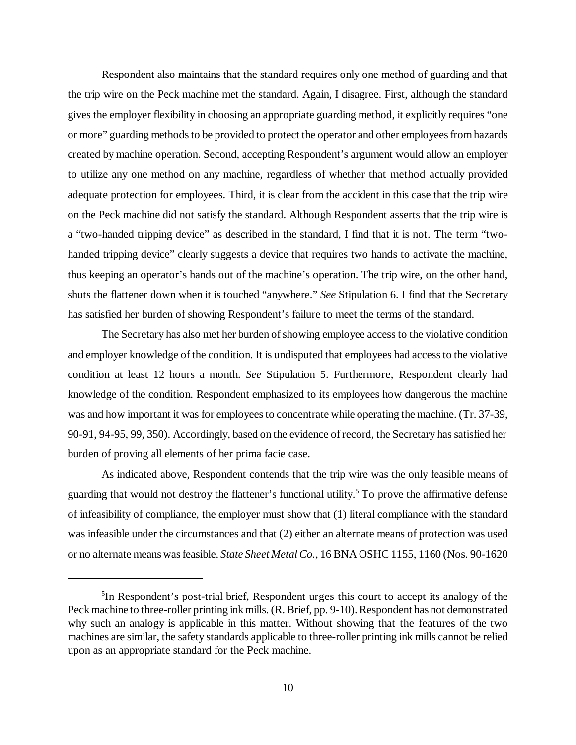Respondent also maintains that the standard requires only one method of guarding and that the trip wire on the Peck machine met the standard. Again, I disagree. First, although the standard gives the employer flexibility in choosing an appropriate guarding method, it explicitly requires "one or more" guarding methods to be provided to protect the operator and other employees from hazards created by machine operation. Second, accepting Respondent's argument would allow an employer to utilize any one method on any machine, regardless of whether that method actually provided adequate protection for employees. Third, it is clear from the accident in this case that the trip wire on the Peck machine did not satisfy the standard. Although Respondent asserts that the trip wire is a "two-handed tripping device" as described in the standard, I find that it is not. The term "twohanded tripping device" clearly suggests a device that requires two hands to activate the machine, thus keeping an operator's hands out of the machine's operation. The trip wire, on the other hand, shuts the flattener down when it is touched "anywhere." *See* Stipulation 6. I find that the Secretary has satisfied her burden of showing Respondent's failure to meet the terms of the standard.

The Secretary has also met her burden of showing employee access to the violative condition and employer knowledge of the condition. It is undisputed that employees had access to the violative condition at least 12 hours a month. *See* Stipulation 5. Furthermore, Respondent clearly had knowledge of the condition. Respondent emphasized to its employees how dangerous the machine was and how important it was for employees to concentrate while operating the machine. (Tr. 37-39, 90-91, 94-95, 99, 350). Accordingly, based on the evidence of record, the Secretary has satisfied her burden of proving all elements of her prima facie case.

As indicated above, Respondent contends that the trip wire was the only feasible means of guarding that would not destroy the flattener's functional utility.<sup>5</sup> To prove the affirmative defense of infeasibility of compliance, the employer must show that (1) literal compliance with the standard was infeasible under the circumstances and that (2) either an alternate means of protection was used or no alternate means was feasible. *State Sheet Metal Co.*, 16 BNA OSHC 1155, 1160 (Nos. 90-1620

<sup>&</sup>lt;sup>5</sup>In Respondent's post-trial brief, Respondent urges this court to accept its analogy of the Peck machine to three-roller printing ink mills. (R. Brief, pp. 9-10). Respondent has not demonstrated why such an analogy is applicable in this matter. Without showing that the features of the two machines are similar, the safety standards applicable to three-roller printing ink mills cannot be relied upon as an appropriate standard for the Peck machine.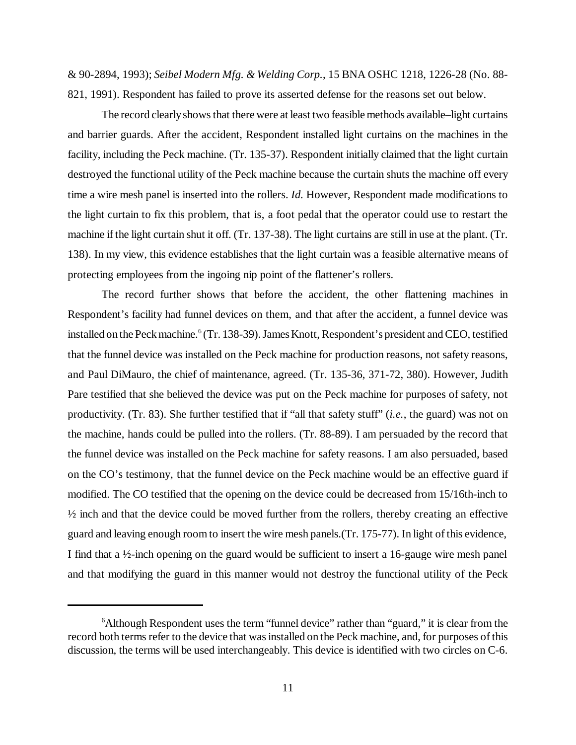& 90-2894, 1993); *Seibel Modern Mfg. & Welding Corp.*, 15 BNA OSHC 1218, 1226-28 (No. 88- 821, 1991). Respondent has failed to prove its asserted defense for the reasons set out below.

The record clearly shows that there were at least two feasible methods available–light curtains and barrier guards. After the accident, Respondent installed light curtains on the machines in the facility, including the Peck machine. (Tr. 135-37). Respondent initially claimed that the light curtain destroyed the functional utility of the Peck machine because the curtain shuts the machine off every time a wire mesh panel is inserted into the rollers. *Id.* However, Respondent made modifications to the light curtain to fix this problem, that is, a foot pedal that the operator could use to restart the machine if the light curtain shut it off. (Tr. 137-38). The light curtains are still in use at the plant. (Tr. 138). In my view, this evidence establishes that the light curtain was a feasible alternative means of protecting employees from the ingoing nip point of the flattener's rollers.

The record further shows that before the accident, the other flattening machines in Respondent's facility had funnel devices on them, and that after the accident, a funnel device was installed on the Peck machine.<sup>6</sup> (Tr. 138-39). James Knott, Respondent's president and CEO, testified that the funnel device was installed on the Peck machine for production reasons, not safety reasons, and Paul DiMauro, the chief of maintenance, agreed. (Tr. 135-36, 371-72, 380). However, Judith Pare testified that she believed the device was put on the Peck machine for purposes of safety, not productivity. (Tr. 83). She further testified that if "all that safety stuff" (*i.e.*, the guard) was not on the machine, hands could be pulled into the rollers. (Tr. 88-89). I am persuaded by the record that the funnel device was installed on the Peck machine for safety reasons. I am also persuaded, based on the CO's testimony, that the funnel device on the Peck machine would be an effective guard if modified. The CO testified that the opening on the device could be decreased from 15/16th-inch to  $\frac{1}{2}$  inch and that the device could be moved further from the rollers, thereby creating an effective guard and leaving enough room to insert the wire mesh panels.(Tr. 175-77). In light of this evidence, I find that a ½-inch opening on the guard would be sufficient to insert a 16-gauge wire mesh panel and that modifying the guard in this manner would not destroy the functional utility of the Peck

<sup>&</sup>lt;sup>6</sup>Although Respondent uses the term "funnel device" rather than "guard," it is clear from the record both terms refer to the device that was installed on the Peck machine, and, for purposes of this discussion, the terms will be used interchangeably. This device is identified with two circles on C-6.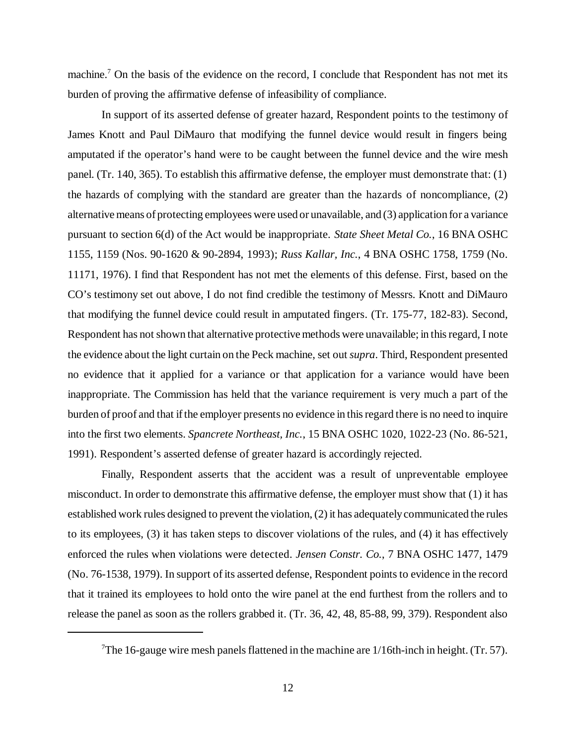machine.<sup>7</sup> On the basis of the evidence on the record, I conclude that Respondent has not met its burden of proving the affirmative defense of infeasibility of compliance.

In support of its asserted defense of greater hazard, Respondent points to the testimony of James Knott and Paul DiMauro that modifying the funnel device would result in fingers being amputated if the operator's hand were to be caught between the funnel device and the wire mesh panel. (Tr. 140, 365). To establish this affirmative defense, the employer must demonstrate that: (1) the hazards of complying with the standard are greater than the hazards of noncompliance, (2) alternative means of protecting employees were used or unavailable, and (3) application for a variance pursuant to section 6(d) of the Act would be inappropriate. *State Sheet Metal Co.*, 16 BNA OSHC 1155, 1159 (Nos. 90-1620 & 90-2894, 1993); *Russ Kallar, Inc.*, 4 BNA OSHC 1758, 1759 (No. 11171, 1976). I find that Respondent has not met the elements of this defense. First, based on the CO's testimony set out above, I do not find credible the testimony of Messrs. Knott and DiMauro that modifying the funnel device could result in amputated fingers. (Tr. 175-77, 182-83). Second, Respondent has not shown that alternative protective methods were unavailable; in this regard, I note the evidence about the light curtain on the Peck machine, set out *supra*. Third, Respondent presented no evidence that it applied for a variance or that application for a variance would have been inappropriate. The Commission has held that the variance requirement is very much a part of the burden of proof and that if the employer presents no evidence in this regard there is no need to inquire into the first two elements. *Spancrete Northeast, Inc.*, 15 BNA OSHC 1020, 1022-23 (No. 86-521, 1991). Respondent's asserted defense of greater hazard is accordingly rejected.

Finally, Respondent asserts that the accident was a result of unpreventable employee misconduct. In order to demonstrate this affirmative defense, the employer must show that (1) it has established work rules designed to prevent the violation, (2) it has adequately communicated the rules to its employees, (3) it has taken steps to discover violations of the rules, and (4) it has effectively enforced the rules when violations were detected. *Jensen Constr. Co.*, 7 BNA OSHC 1477, 1479 (No. 76-1538, 1979). In support of its asserted defense, Respondent points to evidence in the record that it trained its employees to hold onto the wire panel at the end furthest from the rollers and to release the panel as soon as the rollers grabbed it. (Tr. 36, 42, 48, 85-88, 99, 379). Respondent also

<sup>&</sup>lt;sup>7</sup>The 16-gauge wire mesh panels flattened in the machine are  $1/16$ th-inch in height. (Tr. 57).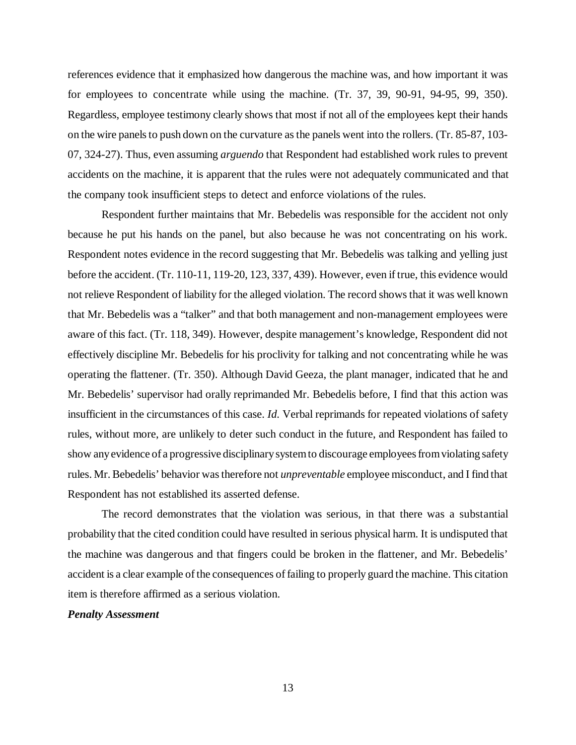references evidence that it emphasized how dangerous the machine was, and how important it was for employees to concentrate while using the machine. (Tr. 37, 39, 90-91, 94-95, 99, 350). Regardless, employee testimony clearly shows that most if not all of the employees kept their hands on the wire panels to push down on the curvature as the panels went into the rollers. (Tr. 85-87, 103- 07, 324-27). Thus, even assuming *arguendo* that Respondent had established work rules to prevent accidents on the machine, it is apparent that the rules were not adequately communicated and that the company took insufficient steps to detect and enforce violations of the rules.

Respondent further maintains that Mr. Bebedelis was responsible for the accident not only because he put his hands on the panel, but also because he was not concentrating on his work. Respondent notes evidence in the record suggesting that Mr. Bebedelis was talking and yelling just before the accident. (Tr. 110-11, 119-20, 123, 337, 439). However, even if true, this evidence would not relieve Respondent of liability for the alleged violation. The record shows that it was well known that Mr. Bebedelis was a "talker" and that both management and non-management employees were aware of this fact. (Tr. 118, 349). However, despite management's knowledge, Respondent did not effectively discipline Mr. Bebedelis for his proclivity for talking and not concentrating while he was operating the flattener. (Tr. 350). Although David Geeza, the plant manager, indicated that he and Mr. Bebedelis' supervisor had orally reprimanded Mr. Bebedelis before, I find that this action was insufficient in the circumstances of this case. *Id.* Verbal reprimands for repeated violations of safety rules, without more, are unlikely to deter such conduct in the future, and Respondent has failed to show any evidence of a progressive disciplinary system to discourage employees from violating safety rules. Mr. Bebedelis' behavior was therefore not *unpreventable* employee misconduct, and I find that Respondent has not established its asserted defense.

The record demonstrates that the violation was serious, in that there was a substantial probability that the cited condition could have resulted in serious physical harm. It is undisputed that the machine was dangerous and that fingers could be broken in the flattener, and Mr. Bebedelis' accident is a clear example of the consequences of failing to properly guard the machine. This citation item is therefore affirmed as a serious violation.

#### *Penalty Assessment*